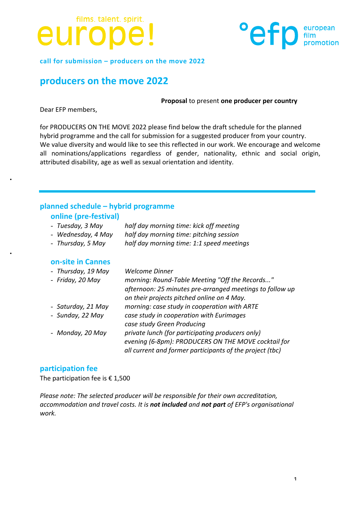



call for submission – producers on the move 2022

### **producers on the move 2022**

#### **Proposal** to present one producer per country

Dear EFP members.

for PRODUCERS ON THE MOVE 2022 please find below the draft schedule for the planned hybrid programme and the call for submission for a suggested producer from your country. We value diversity and would like to see this reflected in our work. We encourage and welcome all nominations/applications regardless of gender, nationality, ethnic and social origin, attributed disability, age as well as sexual orientation and identity.

### **planned schedule – hybrid programme**

### **online (pre-festival)**

- *Tuesday, 3 May half day morning time: kick off meeting*
- *Wednesday, 4 May half day morning time: pitching session*
- *Thursday, 5 May half day morning time: 1:1 speed meetings*

### **on-site in Cannes**

| <b>Welcome Dinner</b>                                    |
|----------------------------------------------------------|
| morning: Round-Table Meeting "Off the Records"           |
| afternoon: 25 minutes pre-arranged meetings to follow up |
| on their projects pitched online on 4 May.               |
| morning: case study in cooperation with ARTE             |
| case study in cooperation with Eurimages                 |
| case study Green Producing                               |
| private lunch (for participating producers only)         |
| evening (6-8pm): PRODUCERS ON THE MOVE cocktail for      |
| all current and former participants of the project (tbc) |
|                                                          |

### **participation fee**

The participation fee is  $£ 1,500$ 

*Please note: The selected producer will be responsible for their own accreditation, accommodation and travel costs. It is not included and not part of EFP's organisational work.*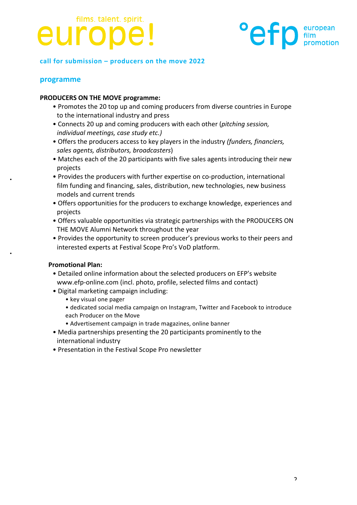## films. talent. spirit. europe



### call for submission – producers on the move 2022

### **programme**

### **PRODUCERS ON THE MOVE programme:**

- Promotes the 20 top up and coming producers from diverse countries in Europe to the international industry and press
- Connects 20 up and coming producers with each other (*pitching session*, *individual meetings, case study etc.)*
- Offers the producers access to key players in the industry (funders, financiers, sales agents, distributors, broadcasters)
- Matches each of the 20 participants with five sales agents introducing their new projects
- Provides the producers with further expertise on co-production, international film funding and financing, sales, distribution, new technologies, new business models and current trends
- Offers opportunities for the producers to exchange knowledge, experiences and projects
- Offers valuable opportunities via strategic partnerships with the PRODUCERS ON THE MOVE Alumni Network throughout the year
- Provides the opportunity to screen producer's previous works to their peers and interested experts at Festival Scope Pro's VoD platform.

### **Promotional Plan:**

- Detailed online information about the selected producers on EFP's website www.efp-online.com (incl. photo, profile, selected films and contact)
- Digital marketing campaign including:
	- key visual one pager
	- dedicated social media campaign on Instagram, Twitter and Facebook to introduce
	- each Producer on the Move
	- Advertisement campaign in trade magazines, online banner
- Media partnerships presenting the 20 participants prominently to the international industry
- Presentation in the Festival Scope Pro newsletter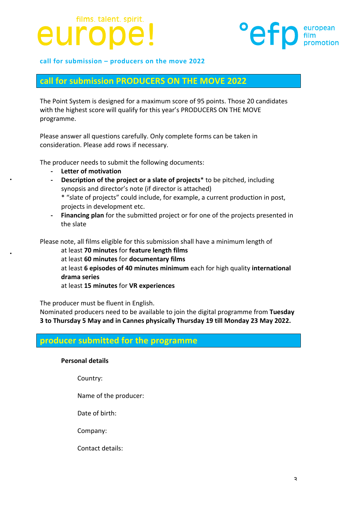## films. talent. spirit. euro



### call for submission – producers on the move 2022

### **call for submission PRODUCERS ON THE MOVE 2022**

The Point System is designed for a maximum score of 95 points. Those 20 candidates with the highest score will qualify for this year's PRODUCERS ON THE MOVE programme.

Please answer all questions carefully. Only complete forms can be taken in consideration. Please add rows if necessary.

The producer needs to submit the following documents:

- **- Letter of motivation**
- **Description of the project or a slate of projects<sup>\*</sup> to be pitched, including** synopsis and director's note (if director is attached) \* "slate of projects" could include, for example, a current production in post, projects in development etc.
- **Financing plan** for the submitted project or for one of the projects presented in the slate

Please note, all films eligible for this submission shall have a minimum length of

at least **70 minutes** for **feature length films** at least **60 minutes** for **documentary films** at least 6 episodes of 40 minutes minimum each for high quality international **drama series** at least **15 minutes** for **VR experiences**

The producer must be fluent in English.

Nominated producers need to be available to join the digital programme from Tuesday **3** to Thursday 5 May and in Cannes physically Thursday 19 till Monday 23 May 2022.

### **producer submitted for the programme**

### **Personal details**

Country:

Name of the producer:

Date of birth:

Company: 

Contact details: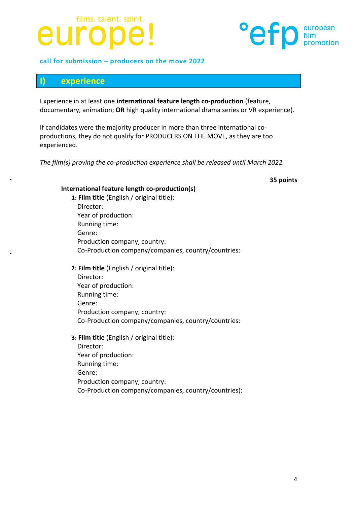## films. talent. spirit. europe

### call for submission – producers on the move 2022

### **I) experience**

Experience in at least one international feature length co-production (feature, documentary, animation; OR high quality international drama series or VR experience).

If candidates were the majority producer in more than three international coproductions, they do not qualify for PRODUCERS ON THE MOVE, as they are too experienced. 

The film(s) proving the co-production experience shall be released until March 2022.

### **35 points**

### **International feature length co-production(s)**

1: Film title (English / original title): Director: Year of production: Running time: Genre: Production company, country: Co-Production company/companies, country/countries:

### **2: Film title** (English / original title):

Director: Year of production: Running time: Genre: Production company, country: Co-Production company/companies, country/countries:

### **3: Film title** (English / original title):

Director: Year of production: Running time: Genre: Production company, country: Co-Production company/companies, country/countries):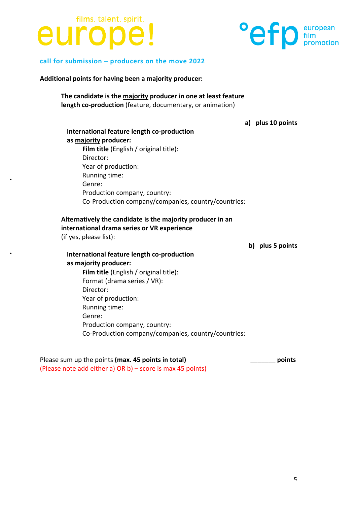### films. talent. spirit. europe!



### call for submission – producers on the move 2022

Additional points for having been a majority producer:

The candidate is the majority producer in one at least feature **length co-production** (feature, documentary, or animation)

**a) plus 10 points**

### **International feature length co-production as majority producer: Film title** (English / original title): Director: Year of production: Running time: Genre: Production company, country: Co-Production company/companies, country/countries:

### Alternatively the candidate is the majority producer in an **international drama series or VR experience**

(if yes, please list):

**b) plus 5 points**

**International feature length co-production as majority producer: Film title** (English / original title): Format (drama series / VR): Director: Year of production: Running time: Genre: Production company, country: Co-Production company/companies, country/countries:

Please sum up the points (max. 45 points in total) *points* (Please note add either a)  $OR b$ ) – score is max 45 points)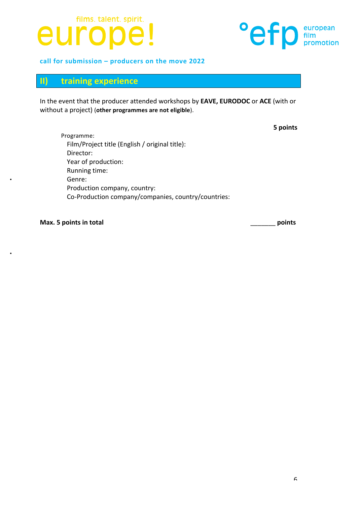## films. talent. spirit. europe!



call for submission - producers on the move 2022

### **II) training experience**

In the event that the producer attended workshops by **EAVE, EURODOC** or ACE (with or without a project) (other programmes are not eligible).

**5 points**

Programme: Film/Project title (English / original title): Director: Year of production: Running time: Genre: Production company, country: Co-Production company/companies, country/countries:

**Max. 5 points in total** \_\_\_\_\_\_\_ **points**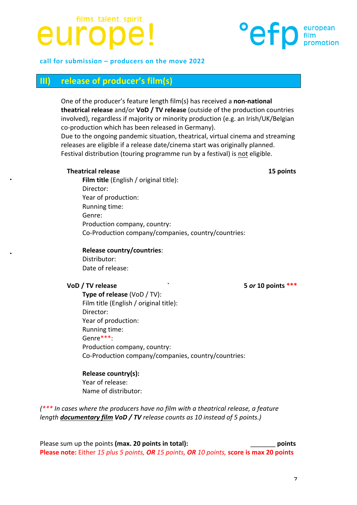### films. talent. spirit. europ

### call for submission – producers on the move 2022

### **III) release of producer's film(s)**

One of the producer's feature length film(s) has received a **non-national theatrical release** and/or **VoD** / **TV release** (outside of the production countries involved), regardless if majority or minority production (e.g. an Irish/UK/Belgian co-production which has been released in Germany).

Due to the ongoing pandemic situation, theatrical, virtual cinema and streaming releases are eligible if a release date/cinema start was originally planned. Festival distribution (touring programme run by a festival) is not eligible.

### **Theatrical release 15 points**

**Film title** (English / original title): Director: Year of production: Running time: Genre: Production company, country: Co-Production company/companies, country/countries:

### **Release country/countries**:

Distributor: Date of release:

**Type of release** (VoD / TV): Film title (English / original title): Director: Year of production: Running time: Genre\*\*\*: Production company, country: Co-Production company/companies, country/countries:

**Release country(s):** Year of release: Name of distributor:

*(\*\*\** In cases where the producers have no film with a theatrical release, a feature *length documentary film VoD* / TV release counts as 10 instead of 5 points.)

Please sum up the points **(max. 20 points in total):** \_\_\_\_\_\_\_ **points Please note:** Either 15 plus 5 points, OR 15 points, OR 10 points, score is max 20 points

**VoD** / TV release *N* **10 i 10 i 5** *or* 10 points \*\*\*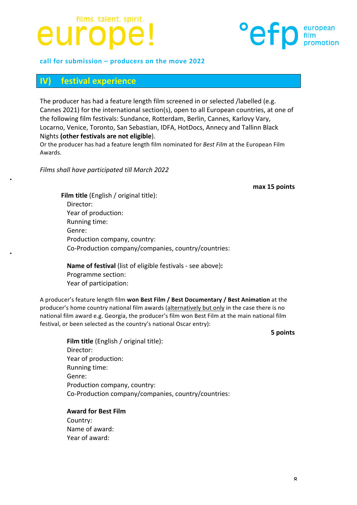## films. talent. spirit. euro



### call for submission – producers on the move 2022

### **IV) festival** experience

The producer has had a feature length film screened in or selected /labelled (e.g. Cannes 2021) for the international section(s), open to all European countries, at one of the following film festivals: Sundance, Rotterdam, Berlin, Cannes, Karlovy Vary, Locarno, Venice, Toronto, San Sebastian, IDFA, HotDocs, Annecy and Tallinn Black Nights (other festivals are not eligible).

Or the producer has had a feature length film nominated for *Best Film* at the European Film Awards.

*Films shall have participated till March 2022*

#### **max 15 points**

**Film title** (English / original title): Director: Year of production: Running time: Genre: Production company, country: Co-Production company/companies, country/countries:

**Name of festival** (list of eligible festivals - see above): Programme section: Year of participation:

A producer's feature length film won Best Film / Best Documentary / Best Animation at the producer's home country national film awards (alternatively but only in the case there is no national film award e.g. Georgia, the producer's film won Best Film at the main national film festival, or been selected as the country's national Oscar entry):

**5 points**

**Film title** (English / original title): Director: Year of production: Running time: Genre: Production company, country: Co-Production company/companies, country/countries:

**Award for Best Film** Country: Name of award: Year of award: